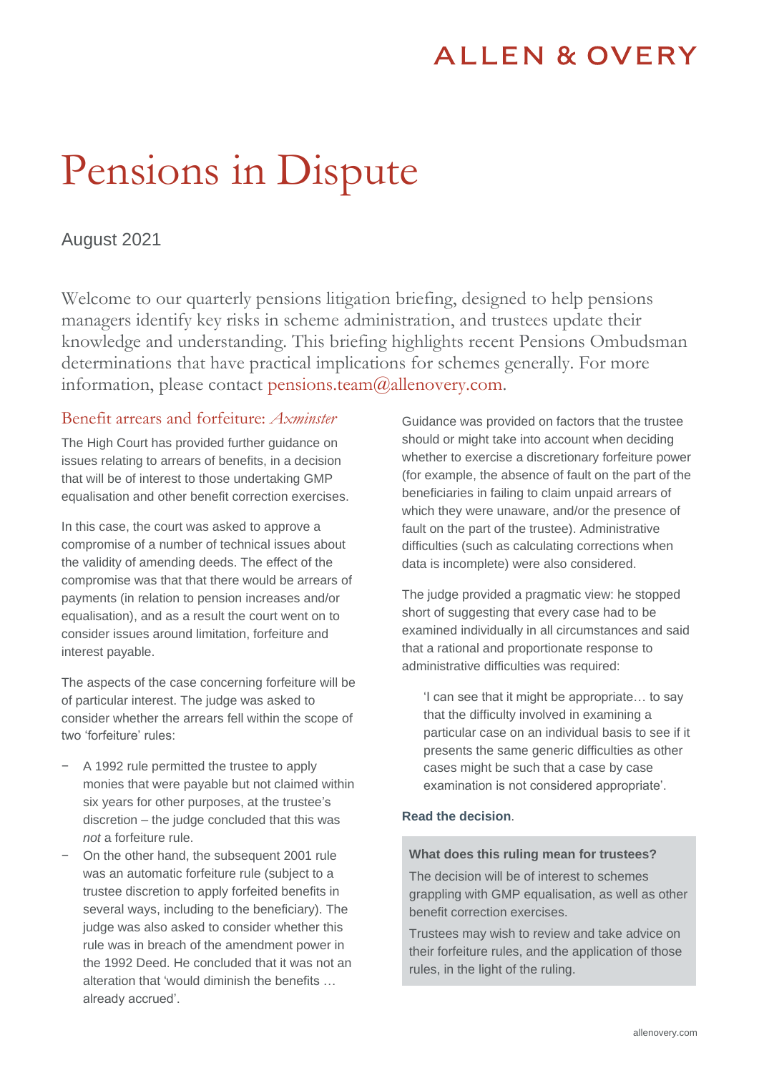# **ALLEN & OVERY**

# Pensions in Dispute

# August 2021

Welcome to our quarterly pensions litigation briefing, designed to help pensions managers identify key risks in scheme administration, and trustees update their knowledge and understanding. This briefing highlights recent Pensions Ombudsman determinations that have practical implications for schemes generally. For more information, please contact pensions.team $@$ allenovery.com.

## Benefit arrears and forfeiture: *Axminster*

The High Court has provided further guidance on issues relating to arrears of benefits, in a decision that will be of interest to those undertaking GMP equalisation and other benefit correction exercises.

In this case, the court was asked to approve a compromise of a number of technical issues about the validity of amending deeds. The effect of the compromise was that that there would be arrears of payments (in relation to pension increases and/or equalisation), and as a result the court went on to consider issues around limitation, forfeiture and interest payable.

The aspects of the case concerning forfeiture will be of particular interest. The judge was asked to consider whether the arrears fell within the scope of two 'forfeiture' rules:

- − A 1992 rule permitted the trustee to apply monies that were payable but not claimed within six years for other purposes, at the trustee's discretion – the judge concluded that this was *not* a forfeiture rule.
- On the other hand, the subsequent 2001 rule was an automatic forfeiture rule (subject to a trustee discretion to apply forfeited benefits in several ways, including to the beneficiary). The judge was also asked to consider whether this rule was in breach of the amendment power in the 1992 Deed. He concluded that it was not an alteration that 'would diminish the benefits … already accrued'.

Guidance was provided on factors that the trustee should or might take into account when deciding whether to exercise a discretionary forfeiture power (for example, the absence of fault on the part of the beneficiaries in failing to claim unpaid arrears of which they were unaware, and/or the presence of fault on the part of the trustee). Administrative difficulties (such as calculating corrections when data is incomplete) were also considered.

The judge provided a pragmatic view: he stopped short of suggesting that every case had to be examined individually in all circumstances and said that a rational and proportionate response to administrative difficulties was required:

'I can see that it might be appropriate… to say that the difficulty involved in examining a particular case on an individual basis to see if it presents the same generic difficulties as other cases might be such that a case by case examination is not considered appropriate'.

#### **[Read the decision](https://www.bailii.org/ew/cases/EWHC/Ch/2021/1652.html)**.

#### **What does this ruling mean for trustees?**

The decision will be of interest to schemes grappling with GMP equalisation, as well as other benefit correction exercises.

Trustees may wish to review and take advice on their forfeiture rules, and the application of those rules, in the light of the ruling.